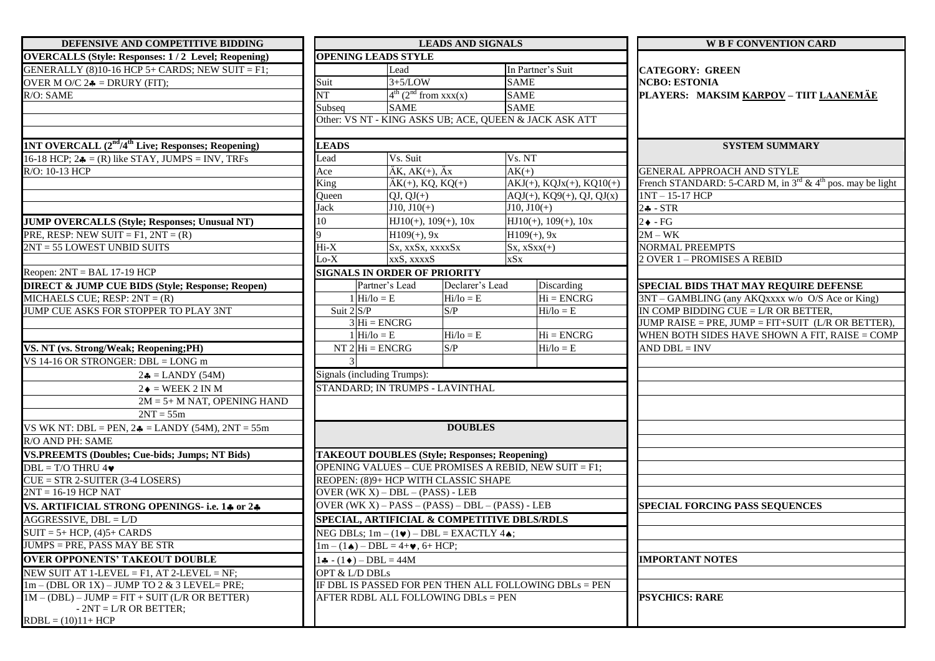| DEFENSIVE AND COMPETITIVE BIDDING                                                 | <b>LEADS AND SIGNALS</b>              |                                                                |             |                                                        | <b>W B F CONVENTION CARD</b>            |                                                                            |
|-----------------------------------------------------------------------------------|---------------------------------------|----------------------------------------------------------------|-------------|--------------------------------------------------------|-----------------------------------------|----------------------------------------------------------------------------|
| <b>OVERCALLS (Style: Responses: 1/2 Level; Reopening)</b>                         |                                       | <b>OPENING LEADS STYLE</b>                                     |             |                                                        |                                         |                                                                            |
| GENERALLY (8)10-16 HCP 5+ CARDS; NEW SUIT = $F1$ ;                                |                                       | Lead                                                           |             | In Partner's Suit                                      |                                         | <b>CATEGORY: GREEN</b>                                                     |
| OVER M O/C $2\clubsuit$ = DRURY (FIT);                                            | Suit                                  | $3+5/LOW$                                                      |             | <b>SAME</b>                                            |                                         | <b>NCBO: ESTONIA</b>                                                       |
| R/O: SAME                                                                         | NT                                    | $4^{th}$ (2 <sup>nd</sup> from xxx(x)                          |             | <b>SAME</b>                                            |                                         | PLAYERS: MAKSIM KARPOV - TIIT LAANEMÄE                                     |
|                                                                                   | Subseq                                | <b>SAME</b>                                                    |             | <b>SAME</b>                                            |                                         |                                                                            |
|                                                                                   |                                       | Other: VS NT - KING ASKS UB; ACE, QUEEN & JACK ASK ATT         |             |                                                        |                                         |                                                                            |
|                                                                                   |                                       |                                                                |             |                                                        |                                         |                                                                            |
| <b>INT OVERCALL</b> (2 <sup>nd</sup> /4 <sup>th</sup> Live; Responses; Reopening) | <b>LEADS</b>                          |                                                                |             |                                                        |                                         | <b>SYSTEM SUMMARY</b>                                                      |
| 16-18 HCP; $2\clubsuit = (R)$ like STAY, JUMPS = INV, TRFs                        | Lead                                  | Vs. Suit                                                       |             | Vs. NT                                                 |                                         |                                                                            |
| R/O: 10-13 HCP                                                                    | Ace                                   | $AK, AK(+), Ax$                                                |             | $AK(+)$                                                |                                         | GENERAL APPROACH AND STYLE                                                 |
|                                                                                   | King                                  | $\overline{AK(+)}$ , KQ, KQ(+)                                 |             |                                                        | $AKJ(+)$ , $KQJx(+)$ , $KQ10(+)$        | French STANDARD: 5-CARD M, in $3^{rd}$ & 4 <sup>th</sup> pos. may be light |
|                                                                                   | Queen                                 | $QJ, QJ(+)$                                                    |             |                                                        | $\overline{AQJ}(+)$ , KQ9(+), QJ, QJ(x) | 1NT-15-17 HCP                                                              |
|                                                                                   | <b>Jack</b>                           | $J10, J10(+)$                                                  |             | $\overline{J}10, J10(+)$                               |                                         | $\overline{2}$ + - STR                                                     |
| <b>JUMP OVERCALLS (Style; Responses; Unusual NT)</b>                              | 10                                    | $HJ10(+)$ , 109(+), 10x                                        |             | $HJ10(+)$ , 109(+), 10x                                |                                         | $2 \bullet$ - FG                                                           |
| PRE, RESP: NEW SUIT = $F1$ , $2NT = (R)$                                          |                                       | $H109(+)$ , 9x                                                 |             | $H109(+)$ , 9x                                         |                                         | $2M - WK$                                                                  |
| $2NT = 55$ LOWEST UNBID SUITS                                                     | $Hi-X$                                | Sx, xxSx, xxxxSx                                               |             | $Sx, xSxx(+)$                                          |                                         | <b>NORMAL PREEMPTS</b>                                                     |
|                                                                                   | $Lo-X$                                | xxS, xxxxS                                                     |             | xSx                                                    |                                         | 2 OVER 1 - PROMISES A REBID                                                |
| Reopen: $2NT = BAL$ 17-19 HCP                                                     |                                       | <b>SIGNALS IN ORDER OF PRIORITY</b>                            |             |                                                        |                                         |                                                                            |
| <b>DIRECT &amp; JUMP CUE BIDS (Style; Response; Reopen)</b>                       |                                       | Partner's Lead                                                 |             | <b>Discarding</b><br>Declarer's Lead                   |                                         | <b>SPECIAL BIDS THAT MAY REQUIRE DEFENSE</b>                               |
| MICHAELS CUE; RESP: $2NT = (R)$                                                   | $1 \vert \text{Hi/lo} = E$            |                                                                | $Hi/lo = E$ |                                                        | $Hi = ENCRG$                            | 3NT – GAMBLING (any AKQxxxx w/o O/S Ace or King)                           |
| JUMP CUE ASKS FOR STOPPER TO PLAY 3NT                                             | Suit $2 S/P$                          |                                                                | S/P         | $Hi/lo = E$                                            |                                         | IN COMP BIDDING CUE = $L/R$ OR BETTER,                                     |
|                                                                                   |                                       | $3 \text{Hi} = ENCRG$                                          |             |                                                        |                                         | JUMP RAISE = PRE, JUMP = FIT+SUIT (L/R OR BETTER),                         |
|                                                                                   |                                       | $1 \overline{\text{Hi/lo}} = E$                                | $Hi/lo = E$ |                                                        | $Hi = ENCRG$                            | WHEN BOTH SIDES HAVE SHOWN A FIT, RAISE = COMP                             |
| VS. NT (vs. Strong/Weak; Reopening;PH)                                            | $\overline{NT}$ 2 Hi = ENCRG          |                                                                | S/P         | $Hi/lo = E$                                            |                                         | $ANDDBL = INV$                                                             |
| VS 14-16 OR STRONGER: $DBL = LONG$ m                                              |                                       |                                                                |             |                                                        |                                         |                                                                            |
| $2\clubsuit =$ LANDY (54M)                                                        | Signals (including Trumps):           |                                                                |             |                                                        |                                         |                                                                            |
| $2 \triangleleft = \text{WEEK } 2 \text{ IN M}$                                   | STANDARD; IN TRUMPS - LAVINTHAL       |                                                                |             |                                                        |                                         |                                                                            |
| $2M = 5 + M NAT$ , OPENING HAND                                                   |                                       |                                                                |             |                                                        |                                         |                                                                            |
| $2NT = 55m$                                                                       |                                       |                                                                |             |                                                        |                                         |                                                                            |
| VS WK NT: DBL = PEN, $2\clubsuit$ = LANDY (54M), $2NT = 55m$                      |                                       | <b>DOUBLES</b>                                                 |             |                                                        |                                         |                                                                            |
| R/O AND PH: SAME                                                                  |                                       |                                                                |             |                                                        |                                         |                                                                            |
| <b>VS.PREEMTS (Doubles; Cue-bids; Jumps; NT Bids)</b>                             |                                       | <b>TAKEOUT DOUBLES (Style; Responses; Reopening)</b>           |             |                                                        |                                         |                                                                            |
| $DBL = T/O$ THRU 4 $\blacktriangleright$                                          |                                       | OPENING VALUES - CUE PROMISES A REBID, NEW SUIT = F1;          |             |                                                        |                                         |                                                                            |
| $CUE = STR$ 2-SUITER (3-4 LOSERS)                                                 |                                       | REOPEN: (8)9+ HCP WITH CLASSIC SHAPE                           |             |                                                        |                                         |                                                                            |
| $2NT = 16-19$ HCP NAT                                                             |                                       | OVER (WK $X$ ) – DBL – (PASS) - LEB                            |             |                                                        |                                         |                                                                            |
| VS. ARTIFICIAL STRONG OPENINGS- i.e. 14 or 24                                     |                                       | OVER (WK X) - PASS - (PASS) - DBL - (PASS) - LEB               |             |                                                        |                                         | <b>SPECIAL FORCING PASS SEQUENCES</b>                                      |
| $AGGRESSIVE, DBL = L/D$                                                           |                                       | SPECIAL, ARTIFICIAL & COMPETITIVE DBLS/RDLS                    |             |                                                        |                                         |                                                                            |
| $SUIT = 5+ HCP$ , (4)5+ CARDS                                                     |                                       | NEG DBLs; $1m - (1\blacktriangleright) - DBL = EXACTLY$ 4.     |             |                                                        |                                         |                                                                            |
| JUMPS = PRE, PASS MAY BE STR                                                      |                                       | $1m - (1\spadesuit) - DBL = 4 + \blacktriangleright, 6 + HCP;$ |             |                                                        |                                         |                                                                            |
| <b>OVER OPPONENTS' TAKEOUT DOUBLE</b>                                             | $1 - (1) - DBL = 44M$                 |                                                                |             |                                                        | <b>IMPORTANT NOTES</b>                  |                                                                            |
| NEW SUIT AT 1-LEVEL = F1, AT 2-LEVEL = NF;                                        |                                       | <b>OPT &amp; L/D DBLs</b>                                      |             |                                                        |                                         |                                                                            |
| $1m - (DBL OR 1X) - JUMP TO 2 & 3 LEVEL = PRE;$                                   |                                       |                                                                |             | IF DBL IS PASSED FOR PEN THEN ALL FOLLOWING DBLs = PEN |                                         |                                                                            |
| $1M - (DBL) - JUMP = FIT + SUIT (L/R OR BETTER)$                                  | AFTER RDBL ALL FOLLOWING $DBLs = PEN$ |                                                                |             |                                                        | <b>PSYCHICS: RARE</b>                   |                                                                            |
| $-2NT = L/R$ OR BETTER;                                                           |                                       |                                                                |             |                                                        |                                         |                                                                            |
| $RDBL = (10)11 + HCP$                                                             |                                       |                                                                |             |                                                        |                                         |                                                                            |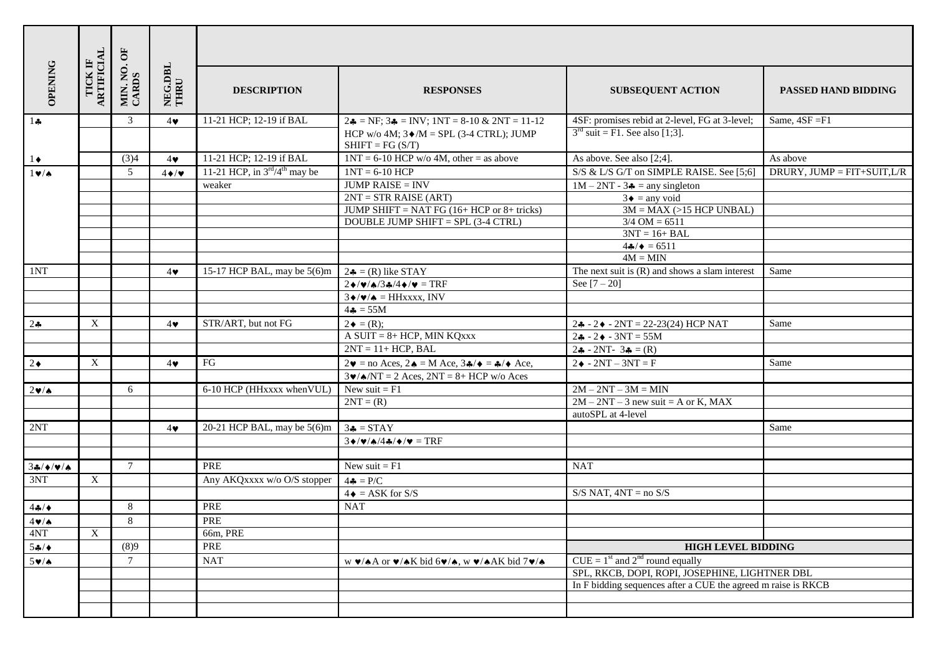|                 |                       | MIN. NO. OF<br>CARDS | NEG.DBL<br>THRU   |                                                    |                                                                                                                                                                                                                                               |                                                               |                                 |  |  |
|-----------------|-----------------------|----------------------|-------------------|----------------------------------------------------|-----------------------------------------------------------------------------------------------------------------------------------------------------------------------------------------------------------------------------------------------|---------------------------------------------------------------|---------------------------------|--|--|
| OPENING         | TICK IF<br>ARTIFICIAL |                      |                   | <b>DESCRIPTION</b>                                 | <b>RESPONSES</b>                                                                                                                                                                                                                              | <b>SUBSEQUENT ACTION</b>                                      | PASSED HAND BIDDING             |  |  |
| $1 -$           |                       | 3                    | $4\bullet$        | 11-21 HCP; 12-19 if BAL                            | $2\clubsuit = NF$ ; $3\clubsuit = INV$ ; $1NT = 8-10 \& 2NT = 11-12$                                                                                                                                                                          | 4SF: promises rebid at 2-level, FG at 3-level;                | Same, $4SF = F1$                |  |  |
|                 |                       |                      |                   |                                                    | HCP w/o 4M; $3\blacklozenge/M =$ SPL (3-4 CTRL); JUMP<br>$SHIFT = FG(S/T)$                                                                                                                                                                    | $3^{rd}$ suit = F1. See also [1;3].                           |                                 |  |  |
| $1\bullet$      |                       | (3)4                 | $4\bullet$        | 11-21 HCP; 12-19 if BAL                            | $1NT = 6-10$ HCP w/o 4M, other = as above                                                                                                                                                                                                     | As above. See also [2;4].                                     | As above                        |  |  |
| $1 \vee 4$      |                       | 5                    | $4 \cdot / \cdot$ | 11-21 HCP, in $3^{\text{rd}}/4^{\text{th}}$ may be | $1NT = 6-10 HCP$                                                                                                                                                                                                                              | S/S & L/S G/T on SIMPLE RAISE. See [5;6]                      | DRURY, JUMP = $FIT + SUIT, L/R$ |  |  |
|                 |                       |                      |                   | weaker                                             | <b>JUMP RAISE = INV</b>                                                                                                                                                                                                                       | $1M - 2NT - 3$ = any singleton                                |                                 |  |  |
|                 |                       |                      |                   |                                                    | $2NT = STR R AISE (ART)$                                                                                                                                                                                                                      | $3 \triangleq$ = any void                                     |                                 |  |  |
|                 |                       |                      |                   |                                                    | JUMP SHIFT = NAT FG $(16+HCP)$ or 8+ tricks)                                                                                                                                                                                                  | $3M = MAX$ (>15 HCP UNBAL)                                    |                                 |  |  |
|                 |                       |                      |                   |                                                    | DOUBLE JUMP SHIFT = SPL (3-4 CTRL)                                                                                                                                                                                                            | $3/4$ OM = 6511                                               |                                 |  |  |
|                 |                       |                      |                   |                                                    |                                                                                                                                                                                                                                               | $3NT = 16 + BAL$                                              |                                 |  |  |
|                 |                       |                      |                   |                                                    |                                                                                                                                                                                                                                               | $4\frac{1}{2}$ / $\bullet$ = 6511<br>$4M = MIN$               |                                 |  |  |
| 1NT             |                       |                      | $4\bullet$        | 15-17 HCP BAL, may be 5(6)m                        | $2\clubsuit = (R)$ like STAY                                                                                                                                                                                                                  | The next suit is $(R)$ and shows a slam interest              | Same                            |  |  |
|                 |                       |                      |                   |                                                    | $2 \div \sqrt{\bullet}/3 \div \sqrt{4} \div \sqrt{\bullet} = TRF$                                                                                                                                                                             | See $[7 - 20]$                                                |                                 |  |  |
|                 |                       |                      |                   |                                                    | $3\blacklozenge/\blacktriangledown/\blacktriangle = HHxxxx, INV$                                                                                                                                                                              |                                                               |                                 |  |  |
|                 |                       |                      |                   |                                                    | $44 = 55M$                                                                                                                                                                                                                                    |                                                               |                                 |  |  |
| 24              | X                     |                      | $4\bullet$        | STR/ART, but not FG                                | $2 \bullet = (R);$                                                                                                                                                                                                                            | $2\clubsuit - 2\spadesuit - 2NT = 22 - 23(24)$ HCP NAT        | Same                            |  |  |
|                 |                       |                      |                   |                                                    | $A SUIT = 8+ HCP$ , MIN KQxxx                                                                                                                                                                                                                 | $24 - 24 - 3NT = 55M$                                         |                                 |  |  |
|                 |                       |                      |                   |                                                    | $2NT = 11 + HCP$ , BAL                                                                                                                                                                                                                        | $2 - 2NT - 3 = (R)$                                           |                                 |  |  |
| $2\bullet$      | $\mathbf X$           |                      | $4\bullet$        | FG                                                 | $2\mathbf{v}$ = no Aces, $2\mathbf{A}$ = M Ace, $3\mathbf{A}/\mathbf{v}$ = $\mathbf{A}/\mathbf{A}$ ce,                                                                                                                                        | $2 \triangleleft - 2NT - 3NT = F$                             | Same                            |  |  |
|                 |                       |                      |                   |                                                    | $3\blacktriangledown/\blacktriangle/NT = 2$ Aces, $2NT = 8 + HCP$ w/o Aces                                                                                                                                                                    |                                                               |                                 |  |  |
| $2 \cdot 4$     |                       | 6                    |                   | 6-10 HCP (HHxxxx when VUL)                         | New suit $=$ F1                                                                                                                                                                                                                               | $2M - 2NT - 3M = MIN$                                         |                                 |  |  |
|                 |                       |                      |                   |                                                    | $2NT = (R)$                                                                                                                                                                                                                                   | $2M - 2NT - 3$ new suit = A or K, MAX                         |                                 |  |  |
|                 |                       |                      |                   |                                                    |                                                                                                                                                                                                                                               | autoSPL at 4-level                                            |                                 |  |  |
| 2NT             |                       |                      | $4\bullet$        | 20-21 HCP BAL, may be 5(6)m                        | $3\clubsuit = STAY$                                                                                                                                                                                                                           |                                                               | Same                            |  |  |
|                 |                       |                      |                   |                                                    | $3 \div 7 \times 44 \div 7 \times 7 = TRF$                                                                                                                                                                                                    |                                                               |                                 |  |  |
|                 |                       |                      |                   |                                                    |                                                                                                                                                                                                                                               |                                                               |                                 |  |  |
| $34/4/\sqrt{4}$ |                       | $\tau$               |                   | PRE                                                | New suit $=$ F1                                                                                                                                                                                                                               | <b>NAT</b>                                                    |                                 |  |  |
| 3NT             | X                     |                      |                   | Any AKQxxxx w/o O/S stopper                        | $4\clubsuit = P/C$                                                                                                                                                                                                                            |                                                               |                                 |  |  |
|                 |                       |                      |                   |                                                    | $4 \bullet = ASK$ for S/S                                                                                                                                                                                                                     | $S/S$ NAT, $4NT = no S/S$                                     |                                 |  |  |
| $4 - 4$         |                       | 8                    |                   | PRE                                                | <b>NAT</b>                                                                                                                                                                                                                                    |                                                               |                                 |  |  |
| $4 \cdot 4$     |                       | 8                    |                   | PRE                                                |                                                                                                                                                                                                                                               |                                                               |                                 |  |  |
| 4NT             | $\overline{X}$        |                      |                   | 66m, PRE                                           |                                                                                                                                                                                                                                               |                                                               |                                 |  |  |
| $5 + 4$         |                       | (8)9                 |                   | PRE                                                |                                                                                                                                                                                                                                               | <b>HIGH LEVEL BIDDING</b>                                     |                                 |  |  |
| 54/4            |                       | 7 <sup>7</sup>       |                   | <b>NAT</b>                                         | $w \blacktriangleright (\blacktriangle A \text{ or } \blacktriangleright / \blacktriangle K \text{ bid } 6\blacktriangleright / \blacktriangle, w \blacktriangleright / \blacktriangle AK \text{ bid } 7\blacktriangleright / \blacktriangle$ | $CUE = 1st$ and $2nd$ round equally                           |                                 |  |  |
|                 |                       |                      |                   |                                                    |                                                                                                                                                                                                                                               | SPL, RKCB, DOPI, ROPI, JOSEPHINE, LIGHTNER DBL                |                                 |  |  |
|                 |                       |                      |                   |                                                    |                                                                                                                                                                                                                                               | In F bidding sequences after a CUE the agreed m raise is RKCB |                                 |  |  |
|                 |                       |                      |                   |                                                    |                                                                                                                                                                                                                                               |                                                               |                                 |  |  |
|                 |                       |                      |                   |                                                    |                                                                                                                                                                                                                                               |                                                               |                                 |  |  |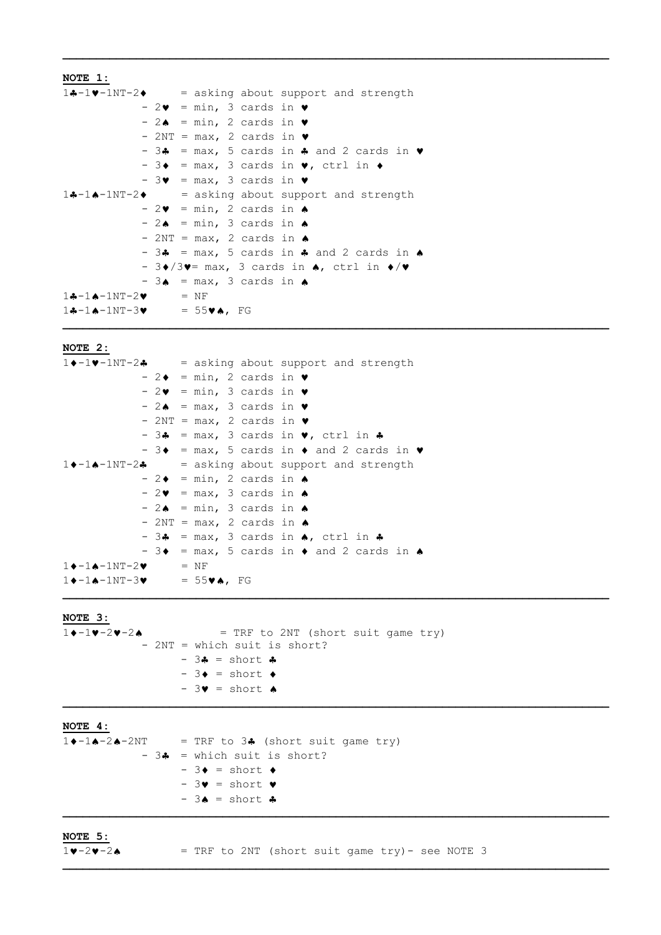```
NOTE 1:
1 -1V-1NT-2\bullet = asking about support and strength
              - 2 = min, 3 cards in \triangledown- 24 = min, 2 cards in v- 2NT = max, 2 cards in \triangledown- 34 = max, 5 cards in 4 and 2 cards in \bullet-3 = max, 3 cards in \vee, ctrl in \vee- 3 = max, 3 cards in \bullet1 -1 -1 -1N-1NT-2\bullet = asking about support and strength
              - 2 = min, 2 cards in \triangle- 24 = min, 3 cards in- 2NT = max, 2 cards in \triangle- 3\bullet = max, 5 cards in \bullet and 2 cards in \bullet- 3 \cdot 3 \cdot 3 = max, 3 cards in \bullet, ctrl in \bullet/\bullet- 3 = max, 3 cards in \triangle1 -1 -1 -1NT-2\vee = NF
1 -1 -1 -1NT-3\bullet = 55\bullet. FG
```
 $\mathcal{L} = \{ \mathcal{L} \mathcal{L} \mathcal{L} \mathcal{L} \mathcal{L} \mathcal{L} \mathcal{L} \mathcal{L} \mathcal{L} \mathcal{L} \mathcal{L} \mathcal{L} \mathcal{L} \mathcal{L} \mathcal{L} \mathcal{L} \mathcal{L} \mathcal{L} \mathcal{L} \mathcal{L} \mathcal{L} \mathcal{L} \mathcal{L} \mathcal{L} \mathcal{L} \mathcal{L} \mathcal{L} \mathcal{L} \mathcal{L} \mathcal{L} \mathcal{L} \mathcal{L} \mathcal{L} \mathcal{L} \mathcal{L} \$ 

 $\mathcal{L} = \{ \mathcal{L} \mathcal{L} \mathcal{L} \mathcal{L} \mathcal{L} \mathcal{L} \mathcal{L} \mathcal{L} \mathcal{L} \mathcal{L} \mathcal{L} \mathcal{L} \mathcal{L} \mathcal{L} \mathcal{L} \mathcal{L} \mathcal{L} \mathcal{L} \mathcal{L} \mathcal{L} \mathcal{L} \mathcal{L} \mathcal{L} \mathcal{L} \mathcal{L} \mathcal{L} \mathcal{L} \mathcal{L} \mathcal{L} \mathcal{L} \mathcal{L} \mathcal{L} \mathcal{L} \mathcal{L} \mathcal{L} \$ 

 $\mathcal{L} = \{ \mathcal{L} \mathcal{L} \mathcal{L} \mathcal{L} \mathcal{L} \mathcal{L} \mathcal{L} \mathcal{L} \mathcal{L} \mathcal{L} \mathcal{L} \mathcal{L} \mathcal{L} \mathcal{L} \mathcal{L} \mathcal{L} \mathcal{L} \mathcal{L} \mathcal{L} \mathcal{L} \mathcal{L} \mathcal{L} \mathcal{L} \mathcal{L} \mathcal{L} \mathcal{L} \mathcal{L} \mathcal{L} \mathcal{L} \mathcal{L} \mathcal{L} \mathcal{L} \mathcal{L} \mathcal{L} \mathcal{L} \$ 

```
NOTE 2:
```

```
1 \rightarrow -1 \rightarrow -1 \rightarrow -2 \rightarrow = asking about support and strength
                  - 2 \bullet = \min, 2 cards in \bullet- 2 = min, 3 cards in \vee- 2 \cdot = \text{max}, 3 \text{ cards in } \cdot- 2NT = max, 2 cards in \blacktriangledown- 3\bullet = max, 3 cards in \bullet, ctrl in \bullet- 3 \bullet = \text{max}, 5 cards in \bullet and 2 cards in \bullet1 \rightarrow -1 \rightarrow -1 \rightarrow -2 \rightarrow = asking about support and strength
                  - 2 \bullet = \min, 2 \text{ cards in } \spadesuit- 2\bullet = max, 3 cards in \bullet-2 = min, 3 cards in \triangle- 2NT = max, 2 cards in \triangle- 3* = max, 3 cards in *, ctrl in *
                  - 3 \bullet = \text{max}, 5 cards in \bullet and 2 cards in \bullet1 \cdot -1 \cdot -1 \cdot -2 \cdot = NF1 \cdot -1 \cdot -1 \cdot -3 \cdot = 55 \cdot \cdot
```

```
NOTE 3:
```
 $1 \rightarrow -1 \rightarrow -2 \rightarrow -2 \rightarrow$  = TRF to 2NT (short suit game try) - 2NT = which suit is short?  $- 3$  = short  $\clubsuit$  $- 3 \bullet = short \bullet$  $- 3$  $\bullet$  = short  $\bullet$  $\mathcal{L} = \{ \mathcal{L} \mathcal{L} \mathcal{L} \mathcal{L} \mathcal{L} \mathcal{L} \mathcal{L} \mathcal{L} \mathcal{L} \mathcal{L} \mathcal{L} \mathcal{L} \mathcal{L} \mathcal{L} \mathcal{L} \mathcal{L} \mathcal{L} \mathcal{L} \mathcal{L} \mathcal{L} \mathcal{L} \mathcal{L} \mathcal{L} \mathcal{L} \mathcal{L} \mathcal{L} \mathcal{L} \mathcal{L} \mathcal{L} \mathcal{L} \mathcal{L} \mathcal{L} \mathcal{L} \mathcal{L} \mathcal{L} \$ 

**NOTE 4:**

 $1 \rightarrow -1 \rightarrow -2 \rightarrow -2N$  = TRF to 3 $\rightarrow$  (short suit game try)  $- 3$  = which suit is short?  $- 3 \bullet = short \bullet$  $- 3$  $\bullet$  = short  $\bullet$  $- 3 \cdot = \text{short}$  $\mathcal{L} = \{ \mathcal{L} \mathcal{L} \mathcal{L} \mathcal{L} \mathcal{L} \mathcal{L} \mathcal{L} \mathcal{L} \mathcal{L} \mathcal{L} \mathcal{L} \mathcal{L} \mathcal{L} \mathcal{L} \mathcal{L} \mathcal{L} \mathcal{L} \mathcal{L} \mathcal{L} \mathcal{L} \mathcal{L} \mathcal{L} \mathcal{L} \mathcal{L} \mathcal{L} \mathcal{L} \mathcal{L} \mathcal{L} \mathcal{L} \mathcal{L} \mathcal{L} \mathcal{L} \mathcal{L} \mathcal{L} \mathcal{L} \$ 

**NOTE 5:**

 $1 \vee -2 \vee -2 \wedge = \text{TRF}$  to 2NT (short suit game try) - see NOTE 3  $\mathcal{L} = \{ \mathcal{L} \mathcal{L} \mathcal{L} \mathcal{L} \mathcal{L} \mathcal{L} \mathcal{L} \mathcal{L} \mathcal{L} \mathcal{L} \mathcal{L} \mathcal{L} \mathcal{L} \mathcal{L} \mathcal{L} \mathcal{L} \mathcal{L} \mathcal{L} \mathcal{L} \mathcal{L} \mathcal{L} \mathcal{L} \mathcal{L} \mathcal{L} \mathcal{L} \mathcal{L} \mathcal{L} \mathcal{L} \mathcal{L} \mathcal{L} \mathcal{L} \mathcal{L} \mathcal{L} \mathcal{L} \mathcal{L} \$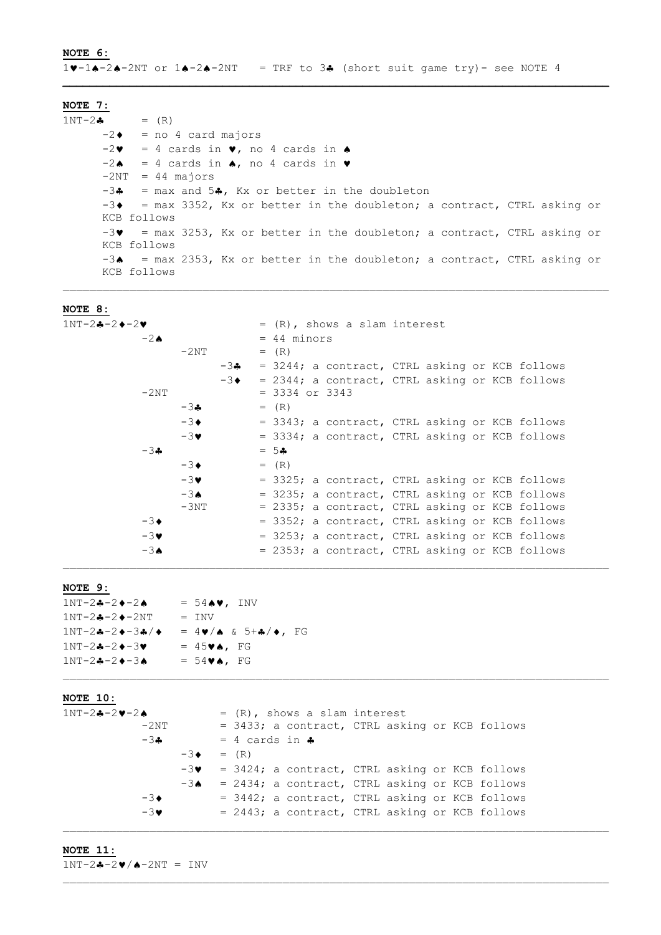#### **NOTE 6:**

 $10 - 10 - 20 - 2N$  or  $10 - 20 - 2N$  = TRF to  $30 - 30$  (short suit game try) - see NOTE 4

**NOTE 7:**

 $1NT-2$   $\bullet$   $=$   $(R)$  $-2 \bullet$  = no 4 card majors  $-2$  = 4 cards in  $\vee$ , no 4 cards in  $\wedge$  $-2$  = 4 cards in  $\bullet$ , no 4 cards in  $\bullet$  $-2NT = 44$  majors  $-3$  $\bullet$  = max and  $5\bullet$ , Kx or better in the doubleton  $-3$  = max 3352, Kx or better in the doubleton; a contract, CTRL asking or KCB follows  $-3$  = max 3253, Kx or better in the doubleton; a contract, CTRL asking or KCB follows  $-3$  = max 2353, Kx or better in the doubleton; a contract, CTRL asking or KCB follows

 $\mathcal{L} = \{ \mathcal{L} \mathcal{L} \mathcal{L} \mathcal{L} \mathcal{L} \mathcal{L} \mathcal{L} \mathcal{L} \mathcal{L} \mathcal{L} \mathcal{L} \mathcal{L} \mathcal{L} \mathcal{L} \mathcal{L} \mathcal{L} \mathcal{L} \mathcal{L} \mathcal{L} \mathcal{L} \mathcal{L} \mathcal{L} \mathcal{L} \mathcal{L} \mathcal{L} \mathcal{L} \mathcal{L} \mathcal{L} \mathcal{L} \mathcal{L} \mathcal{L} \mathcal{L} \mathcal{L} \mathcal{L} \mathcal{L} \$ 

## **NOTE 8:**

 $\overline{1NT-2}$  + -2  $\blacktriangleright$  -2  $\blacktriangleright$  = (R), shows a slam interest  $-2 \bullet$  = 44 minors  $-2NT$  =  $(R)$  $-3$  = 3244; a contract, CTRL asking or KCB follows  $-3$  = 2344; a contract, CTRL asking or KCB follows  $-2NT$  = 3334 or 3343  $-3$   $\clubsuit$  =  $(R)$  $-3$  = 3343; a contract, CTRL asking or KCB follows  $-3$  = 3334; a contract, CTRL asking or KCB follows  $-34 = 54$  $-3 \bullet$  =  $(R)$  $-3$  = 3325; a contract, CTRL asking or KCB follows  $-3$  = 3235; a contract, CTRL asking or KCB follows  $-3NT$  = 2335; a contract, CTRL asking or KCB follows  $-3$  = 3352; a contract, CTRL asking or KCB follows  $-3$   $\bullet$  = 3253; a contract, CTRL asking or KCB follows  $-3$   $\bullet$  = 2353; a contract, CTRL asking or KCB follows

### **NOTE 9:**

| $1NT - 2 - -2 - -2$     | $= 54 \cdot 4$ , INV                           |
|-------------------------|------------------------------------------------|
| $1NT - 2 - -2 - -2NT$   | $=$ INV                                        |
| $1NT - 2 - -2 - -3 - 7$ | $= 4 \cdot 4 \cdot 6$ & 5+4/+, FG              |
| $1NT-2+-2+-3$           | $= 45 \blacktriangleright \blacktriangle$ , FG |
| $1NT - 2 - - 2 - - 3$   | $= 54 \blacktriangledown \spadesuit$ , FG      |

# **NOTE 10:**

 $1NT-2 -2 -2 -2 -3$  = (R), shows a slam interest  $-2NT$  = 3433; a contract, CTRL asking or KCB follows  $-3$   $\bullet$  = 4 cards in  $\bullet$  $-3$   $\bullet$  =  $(R)$  $-3$  = 3424; a contract, CTRL asking or KCB follows  $-3$  = 2434; a contract, CTRL asking or KCB follows  $-3$  = 3442; a contract, CTRL asking or KCB follows  $-3$  = 2443; a contract, CTRL asking or KCB follows

# **NOTE 11:**

 $1NT-2 -2 -2$  /  $-2NT = INV$